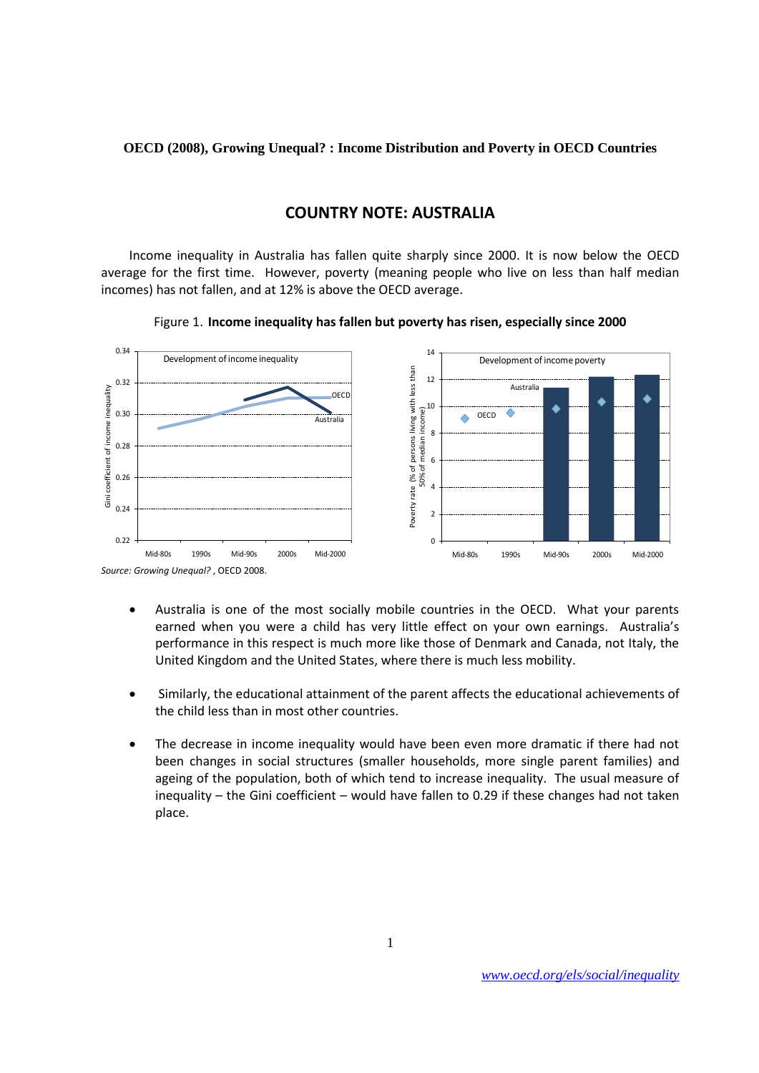**OECD (2008), Growing Unequal? : Income Distribution and Poverty in OECD Countries**

## **COUNTRY NOTE: AUSTRALIA**

Income inequality in Australia has fallen quite sharply since 2000. It is now below the OECD average for the first time. However, poverty (meaning people who live on less than half median incomes) has not fallen, and at 12% is above the OECD average.



Figure 1. **Income inequality has fallen but poverty has risen, especially since 2000**

- Australia is one of the most socially mobile countries in the OECD. What your parents earned when you were a child has very little effect on your own earnings. Australia's performance in this respect is much more like those of Denmark and Canada, not Italy, the United Kingdom and the United States, where there is much less mobility.
- Similarly, the educational attainment of the parent affects the educational achievements of the child less than in most other countries.
- The decrease in income inequality would have been even more dramatic if there had not been changes in social structures (smaller households, more single parent families) and ageing of the population, both of which tend to increase inequality. The usual measure of inequality – the Gini coefficient – would have fallen to 0.29 if these changes had not taken place.